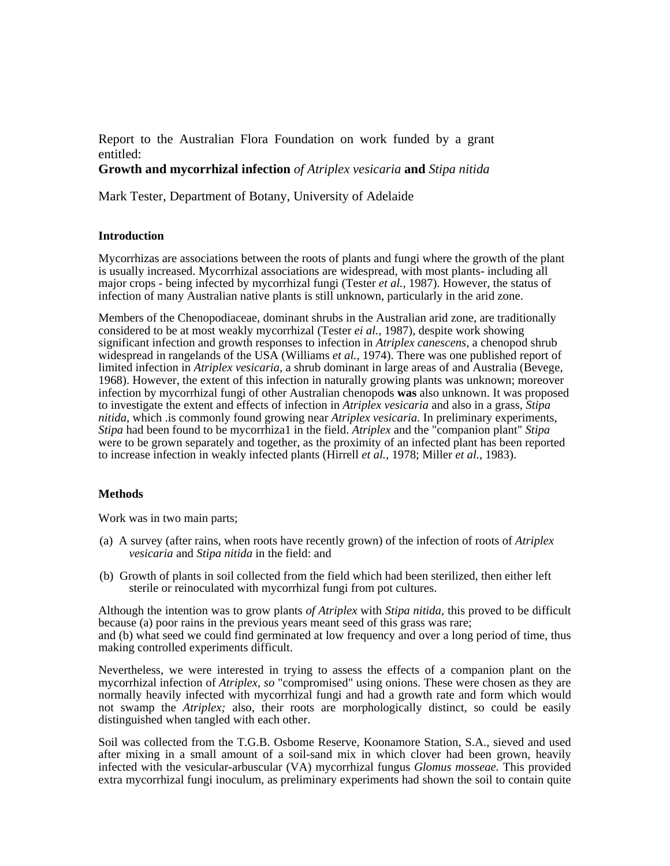Report to the Australian Flora Foundation on work funded by a grant entitled:

# **Growth and mycorrhizal infection** *of Atriplex vesicaria* **and** *Stipa nitida*

Mark Tester, Department of Botany, University of Adelaide

## **Introduction**

Mycorrhizas are associations between the roots of plants and fungi where the growth of the plant is usually increased. Mycorrhizal associations are widespread, with most plants- including all major crops - being infected by mycorrhizal fungi (Tester *et al.,* 1987). However, the status of infection of many Australian native plants is still unknown, particularly in the arid zone.

Members of the Chenopodiaceae, dominant shrubs in the Australian arid zone, are traditionally considered to be at most weakly mycorrhizal (Tester *ei al.,* 1987), despite work showing significant infection and growth responses to infection in *Atriplex canescens,* a chenopod shrub widespread in rangelands of the USA (Williams *et al.,* 1974). There was one published report of limited infection in *Atriplex vesicaria,* a shrub dominant in large areas of and Australia (Bevege, 1968). However, the extent of this infection in naturally growing plants was unknown; moreover infection by mycorrhizal fungi of other Australian chenopods **was** also unknown. It was proposed to investigate the extent and effects of infection in *Atriplex vesicaria* and also in a grass, *Stipa nitida,* which .is commonly found growing near *Atriplex vesicaria.* In preliminary experiments, *Stipa* had been found to be mycorrhiza1 in the field. *Atriplex* and the "companion plant" *Stipa*  were to be grown separately and together, as the proximity of an infected plant has been reported to increase infection in weakly infected plants (Hirrell *et al.,* 1978; Miller *et al.,* 1983).

### **Methods**

Work was in two main parts;

- (a) A survey (after rains, when roots have recently grown) of the infection of roots of *Atriplex vesicaria* and *Stipa nitida* in the field: and
- (b) Growth of plants in soil collected from the field which had been sterilized, then either left sterile or reinoculated with mycorrhizal fungi from pot cultures.

Although the intention was to grow plants *of Atriplex* with *Stipa nitida,* this proved to be difficult because (a) poor rains in the previous years meant seed of this grass was rare; and (b) what seed we could find germinated at low frequency and over a long period of time, thus making controlled experiments difficult.

Nevertheless, we were interested in trying to assess the effects of a companion plant on the mycorrhizal infection of *Atriplex, so* "compromised" using onions. These were chosen as they are normally heavily infected with mycorrhizal fungi and had a growth rate and form which would not swamp the *Atriplex;* also, their roots are morphologically distinct, so could be easily distinguished when tangled with each other.

Soil was collected from the T.G.B. Osbome Reserve, Koonamore Station, S.A., sieved and used after mixing in a small amount of a soil-sand mix in which clover had been grown, heavily infected with the vesicular-arbuscular (VA) mycorrhizal fungus *Glomus mosseae.* This provided extra mycorrhizal fungi inoculum, as preliminary experiments had shown the soil to contain quite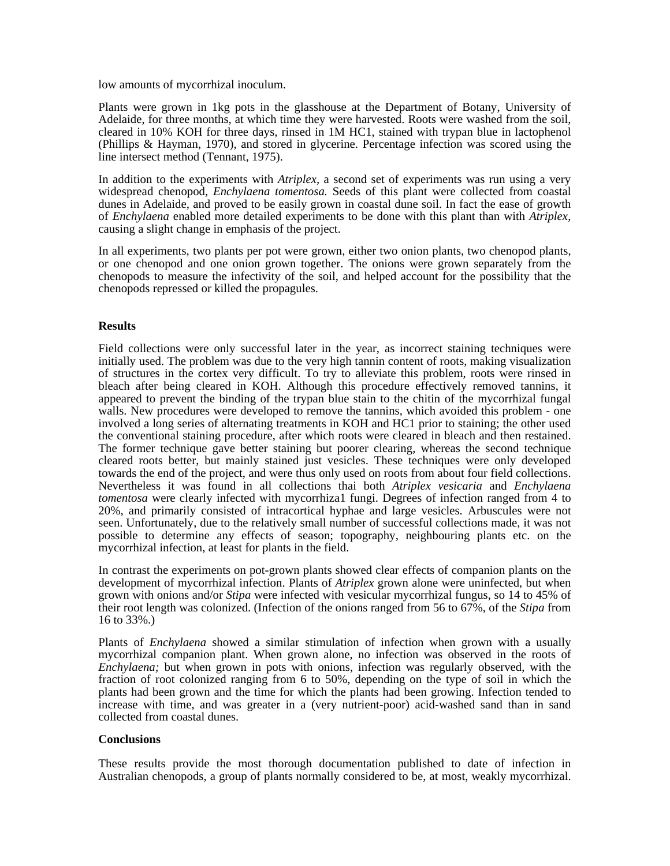low amounts of mycorrhizal inoculum.

Plants were grown in 1kg pots in the glasshouse at the Department of Botany, University of Adelaide, for three months, at which time they were harvested. Roots were washed from the soil, cleared in 10% KOH for three days, rinsed in 1M HC1, stained with trypan blue in lactophenol (Phillips & Hayman, 1970), and stored in glycerine. Percentage infection was scored using the line intersect method (Tennant, 1975).

In addition to the experiments with *Atriplex,* a second set of experiments was run using a very widespread chenopod, *Enchylaena tomentosa.* Seeds of this plant were collected from coastal dunes in Adelaide, and proved to be easily grown in coastal dune soil. In fact the ease of growth of *Enchylaena* enabled more detailed experiments to be done with this plant than with *Atriplex,* causing a slight change in emphasis of the project.

In all experiments, two plants per pot were grown, either two onion plants, two chenopod plants, or one chenopod and one onion grown together. The onions were grown separately from the chenopods to measure the infectivity of the soil, and helped account for the possibility that the chenopods repressed or killed the propagules.

### **Results**

Field collections were only successful later in the year, as incorrect staining techniques were initially used. The problem was due to the very high tannin content of roots, making visualization of structures in the cortex very difficult. To try to alleviate this problem, roots were rinsed in bleach after being cleared in KOH. Although this procedure effectively removed tannins, it appeared to prevent the binding of the trypan blue stain to the chitin of the mycorrhizal fungal walls. New procedures were developed to remove the tannins, which avoided this problem - one involved a long series of alternating treatments in KOH and HC1 prior to staining; the other used the conventional staining procedure, after which roots were cleared in bleach and then restained. The former technique gave better staining but poorer clearing, whereas the second technique cleared roots better, but mainly stained just vesicles. These techniques were only developed towards the end of the project, and were thus only used on roots from about four field collections. Nevertheless it was found in all collections thai both *Atriplex vesicaria* and *Enchylaena tomentosa* were clearly infected with mycorrhiza1 fungi. Degrees of infection ranged from 4 to 20%, and primarily consisted of intracortical hyphae and large vesicles. Arbuscules were not seen. Unfortunately, due to the relatively small number of successful collections made, it was not possible to determine any effects of season; topography, neighbouring plants etc. on the mycorrhizal infection, at least for plants in the field.

In contrast the experiments on pot-grown plants showed clear effects of companion plants on the development of mycorrhizal infection. Plants of *Atriplex* grown alone were uninfected, but when grown with onions and/or *Stipa* were infected with vesicular mycorrhizal fungus, so 14 to 45% of their root length was colonized. (Infection of the onions ranged from 56 to 67%, of the *Stipa* from 16 to 33%.)

Plants of *Enchylaena* showed a similar stimulation of infection when grown with a usually mycorrhizal companion plant. When grown alone, no infection was observed in the roots of *Enchylaena;* but when grown in pots with onions, infection was regularly observed, with the fraction of root colonized ranging from 6 to 50%, depending on the type of soil in which the plants had been grown and the time for which the plants had been growing. Infection tended to increase with time, and was greater in a (very nutrient-poor) acid-washed sand than in sand collected from coastal dunes.

### **Conclusions**

These results provide the most thorough documentation published to date of infection in Australian chenopods, a group of plants normally considered to be, at most, weakly mycorrhizal.